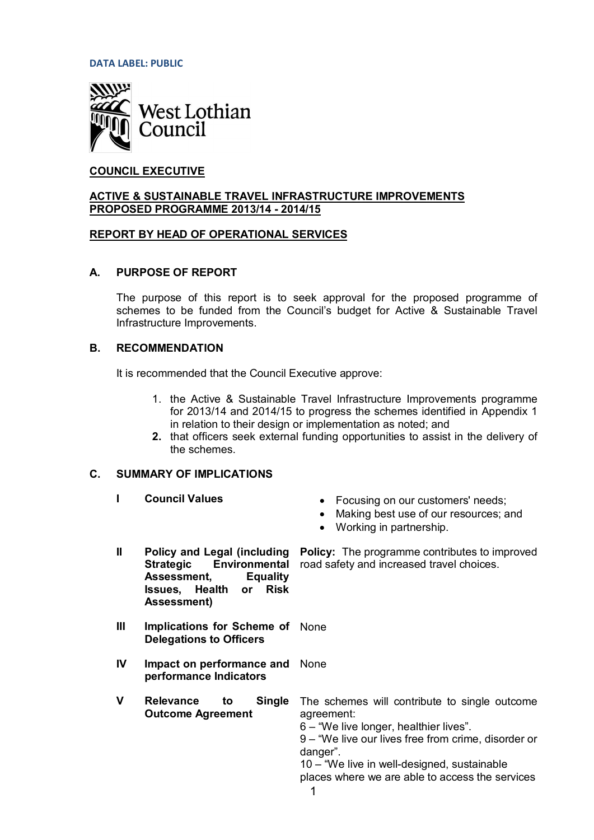**DATA LABEL: PUBLIC**



# **COUNCIL EXECUTIVE**

#### **ACTIVE & SUSTAINABLE TRAVEL INFRASTRUCTURE IMPROVEMENTS PROPOSED PROGRAMME 2013/14 - 2014/15**

## **REPORT BY HEAD OF OPERATIONAL SERVICES**

## **A. PURPOSE OF REPORT**

The purpose of this report is to seek approval for the proposed programme of schemes to be funded from the Council's budget for Active & Sustainable Travel Infrastructure Improvements.

#### **B. RECOMMENDATION**

It is recommended that the Council Executive approve:

- 1. the Active & Sustainable Travel Infrastructure Improvements programme for 2013/14 and 2014/15 to progress the schemes identified in Appendix 1 in relation to their design or implementation as noted; and
- **2.** that officers seek external funding opportunities to assist in the delivery of the schemes.

#### **C. SUMMARY OF IMPLICATIONS**

- 
- **I Council Values in Example 2018** Focusing on our customers' needs;
	- Making best use of our resources; and

**Policy:** The programme contributes to improved

- $\bullet$  Working in partnership.
- **II Policy and Legal (including** Strategic Environmental road safety and increased travel choices. **Assessment, Equality Issues, Health or Risk Assessment)**
- **III Implications for Scheme of** None **Delegations to Officers**
- **IV** Impact on performance and None **performance Indicators**
- **V** Relevance to **Outcome Agreement Single** The schemes will contribute to single outcome

agreement:

6 – "We live longer, healthier lives".

9 – "We live our lives free from crime, disorder or danger".

10 – "We live in well-designed, sustainable places where we are able to access the services

1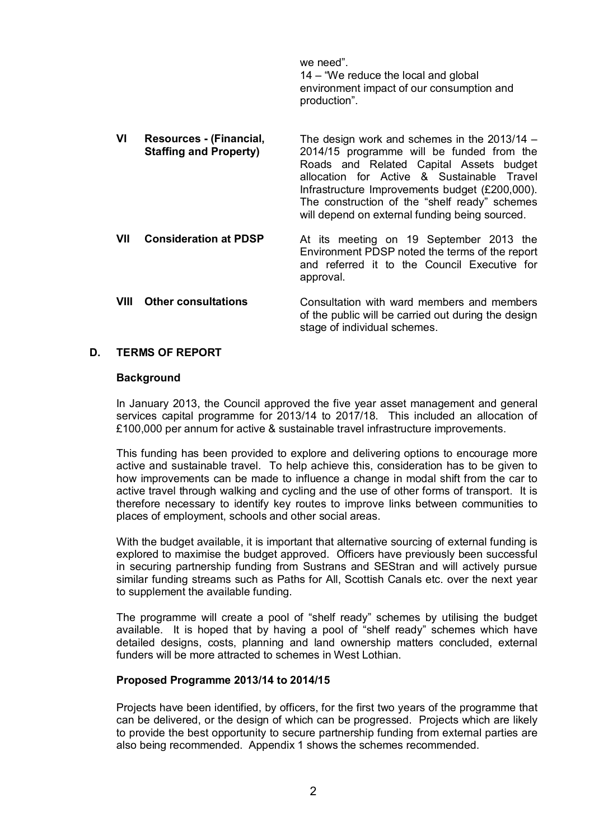we need". 14 – "We reduce the local and global environment impact of our consumption and production".

- **VI Resources (Financial, Staffing and Property)** The design work and schemes in the 2013/14 – 2014/15 programme will be funded from the Roads and Related Capital Assets budget allocation for Active & Sustainable Travel Infrastructure Improvements budget (£200,000). The construction of the "shelf ready" schemes will depend on external funding being sourced. **VII Consideration at PDSP** At its meeting on 19 September 2013 the Environment PDSP noted the terms of the report
- and referred it to the Council Executive for approval. **VIII** Other consultations Consultation with ward members and members of the public will be carried out during the design

stage of individual schemes.

## **D. TERMS OF REPORT**

#### **Background**

In January 2013, the Council approved the five year asset management and general services capital programme for 2013/14 to 2017/18. This included an allocation of £100,000 per annum for active & sustainable travel infrastructure improvements.

This funding has been provided to explore and delivering options to encourage more active and sustainable travel. To help achieve this, consideration has to be given to how improvements can be made to influence a change in modal shift from the car to active travel through walking and cycling and the use of other forms of transport. It is therefore necessary to identify key routes to improve links between communities to places of employment, schools and other social areas.

With the budget available, it is important that alternative sourcing of external funding is explored to maximise the budget approved. Officers have previously been successful in securing partnership funding from Sustrans and SEStran and will actively pursue similar funding streams such as Paths for All, Scottish Canals etc. over the next year to supplement the available funding.

The programme will create a pool of "shelf ready" schemes by utilising the budget available. It is hoped that by having a pool of "shelf ready" schemes which have detailed designs, costs, planning and land ownership matters concluded, external funders will be more attracted to schemes in West Lothian.

#### **Proposed Programme 2013/14 to 2014/15**

Projects have been identified, by officers, for the first two years of the programme that can be delivered, or the design of which can be progressed. Projects which are likely to provide the best opportunity to secure partnership funding from external parties are also being recommended. Appendix 1 shows the schemes recommended.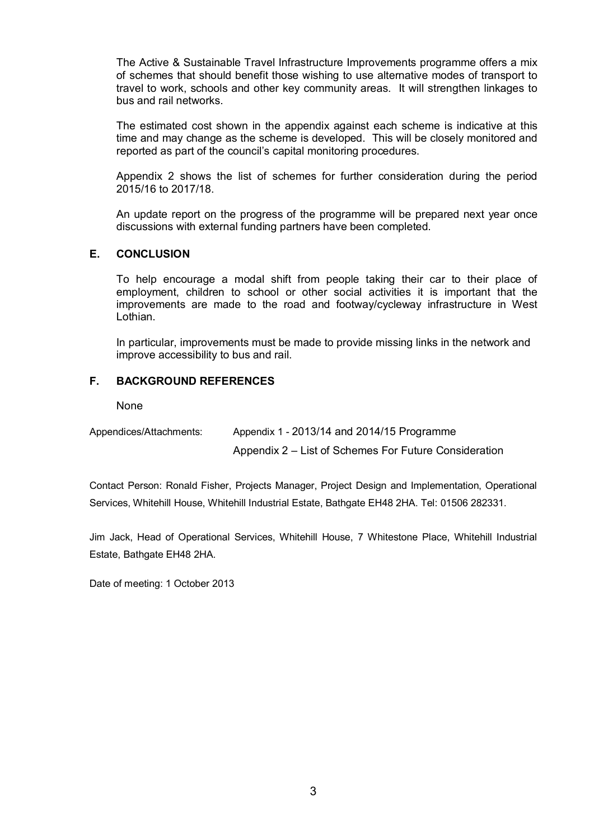The Active & Sustainable Travel Infrastructure Improvements programme offers a mix of schemes that should benefit those wishing to use alternative modes of transport to travel to work, schools and other key community areas. It will strengthen linkages to bus and rail networks.

The estimated cost shown in the appendix against each scheme is indicative at this time and may change as the scheme is developed. This will be closely monitored and reported as part of the council's capital monitoring procedures.

Appendix 2 shows the list of schemes for further consideration during the period 2015/16 to 2017/18.

An update report on the progress of the programme will be prepared next year once discussions with external funding partners have been completed.

## **E. CONCLUSION**

To help encourage a modal shift from people taking their car to their place of employment, children to school or other social activities it is important that the improvements are made to the road and footway/cycleway infrastructure in West Lothian.

In particular, improvements must be made to provide missing links in the network and improve accessibility to bus and rail.

## **F. BACKGROUND REFERENCES**

None

| Appendices/Attachments: | Appendix 1 - 2013/14 and 2014/15 Programme            |
|-------------------------|-------------------------------------------------------|
|                         | Appendix 2 – List of Schemes For Future Consideration |

Contact Person: Ronald Fisher, Projects Manager, Project Design and Implementation, Operational Services, Whitehill House, Whitehill Industrial Estate, Bathgate EH48 2HA. Tel: 01506 282331.

Jim Jack, Head of Operational Services, Whitehill House, 7 Whitestone Place, Whitehill Industrial Estate, Bathgate EH48 2HA.

Date of meeting: 1 October 2013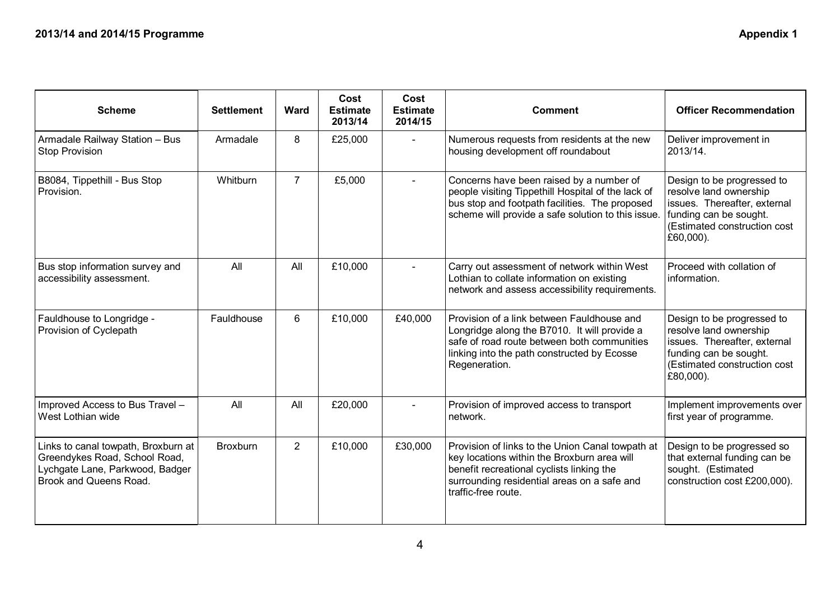| <b>Scheme</b>                                                                                                                     | <b>Settlement</b> | Ward           | Cost<br><b>Estimate</b><br>2013/14 | Cost<br><b>Estimate</b><br>2014/15 | <b>Comment</b>                                                                                                                                                                                                                                                                                                                                                              | <b>Officer Recommendation</b>                                                                                                                                  |
|-----------------------------------------------------------------------------------------------------------------------------------|-------------------|----------------|------------------------------------|------------------------------------|-----------------------------------------------------------------------------------------------------------------------------------------------------------------------------------------------------------------------------------------------------------------------------------------------------------------------------------------------------------------------------|----------------------------------------------------------------------------------------------------------------------------------------------------------------|
| Armadale Railway Station - Bus<br><b>Stop Provision</b>                                                                           | Armadale          | 8              | £25,000                            | $\blacksquare$                     | Numerous requests from residents at the new<br>Deliver improvement in<br>housing development off roundabout<br>2013/14.                                                                                                                                                                                                                                                     |                                                                                                                                                                |
| B8084, Tippethill - Bus Stop<br>Provision.                                                                                        | Whitburn          | $\overline{7}$ | £5,000                             |                                    | Concerns have been raised by a number of<br>people visiting Tippethill Hospital of the lack of<br>bus stop and footpath facilities. The proposed<br>scheme will provide a safe solution to this issue.                                                                                                                                                                      | Design to be progressed to<br>resolve land ownership<br>issues. Thereafter, external<br>funding can be sought.<br>(Estimated construction cost<br>$£60,000$ ). |
| Bus stop information survey and<br>accessibility assessment.                                                                      | All               | All            | £10,000                            | $\blacksquare$                     | Proceed with collation of<br>Carry out assessment of network within West<br>Lothian to collate information on existing<br>information.<br>network and assess accessibility requirements.                                                                                                                                                                                    |                                                                                                                                                                |
| Fauldhouse to Longridge -<br>Provision of Cyclepath                                                                               | Fauldhouse        | 6              | £10,000                            | £40,000                            | Provision of a link between Fauldhouse and<br>Design to be progressed to<br>resolve land ownership<br>Longridge along the B7010. It will provide a<br>safe of road route between both communities<br>issues. Thereafter, external<br>linking into the path constructed by Ecosse<br>funding can be sought.<br>(Estimated construction cost<br>Regeneration.<br>$£80,000$ ). |                                                                                                                                                                |
| Improved Access to Bus Travel -<br>West Lothian wide                                                                              | All               | All            | £20,000                            |                                    | Provision of improved access to transport<br>network.                                                                                                                                                                                                                                                                                                                       | Implement improvements over<br>first year of programme.                                                                                                        |
| Links to canal towpath, Broxburn at<br>Greendykes Road, School Road,<br>Lychgate Lane, Parkwood, Badger<br>Brook and Queens Road. | <b>Broxburn</b>   | $\overline{2}$ | £10,000                            | £30,000                            | Provision of links to the Union Canal towpath at<br>Design to be progressed so<br>key locations within the Broxburn area will<br>that external funding can be<br>benefit recreational cyclists linking the<br>sought. (Estimated<br>surrounding residential areas on a safe and<br>construction cost £200,000).<br>traffic-free route.                                      |                                                                                                                                                                |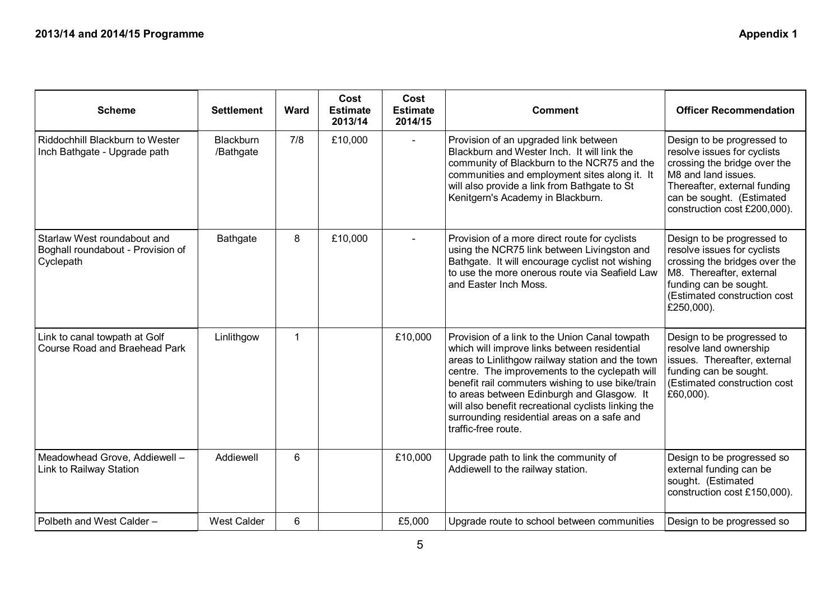| <b>Scheme</b>                                                                 | <b>Settlement</b>             | <b>Ward</b> | Cost<br><b>Estimate</b><br>2013/14 | Cost<br><b>Estimate</b><br>2014/15 | <b>Comment</b>                                                                                                                                                                                                                                                                                                                                                                                                                      | <b>Officer Recommendation</b>                                                                                                                                                                                 |
|-------------------------------------------------------------------------------|-------------------------------|-------------|------------------------------------|------------------------------------|-------------------------------------------------------------------------------------------------------------------------------------------------------------------------------------------------------------------------------------------------------------------------------------------------------------------------------------------------------------------------------------------------------------------------------------|---------------------------------------------------------------------------------------------------------------------------------------------------------------------------------------------------------------|
| Riddochhill Blackburn to Wester<br>Inch Bathgate - Upgrade path               | <b>Blackburn</b><br>/Bathgate | 7/8         | £10,000                            | $\blacksquare$                     | Provision of an upgraded link between<br>Blackburn and Wester Inch. It will link the<br>community of Blackburn to the NCR75 and the<br>communities and employment sites along it. It<br>will also provide a link from Bathgate to St<br>Kenitgern's Academy in Blackburn.                                                                                                                                                           | Design to be progressed to<br>resolve issues for cyclists<br>crossing the bridge over the<br>M8 and land issues.<br>Thereafter, external funding<br>can be sought. (Estimated<br>construction cost £200,000). |
| Starlaw West roundabout and<br>Boghall roundabout - Provision of<br>Cyclepath | Bathgate                      | 8           | £10,000                            |                                    | Provision of a more direct route for cyclists<br>using the NCR75 link between Livingston and<br>Bathgate. It will encourage cyclist not wishing<br>to use the more onerous route via Seafield Law<br>and Easter Inch Moss.                                                                                                                                                                                                          | Design to be progressed to<br>resolve issues for cyclists<br>crossing the bridges over the<br>M8. Thereafter, external<br>funding can be sought.<br>(Estimated construction cost<br>£250,000).                |
| Link to canal towpath at Golf<br><b>Course Road and Braehead Park</b>         | Linlithgow                    | 1           |                                    | £10,000                            | Provision of a link to the Union Canal towpath<br>which will improve links between residential<br>areas to Linlithgow railway station and the town<br>centre. The improvements to the cyclepath will<br>benefit rail commuters wishing to use bike/train<br>to areas between Edinburgh and Glasgow. It<br>will also benefit recreational cyclists linking the<br>surrounding residential areas on a safe and<br>traffic-free route. | Design to be progressed to<br>resolve land ownership<br>issues. Thereafter, external<br>funding can be sought.<br>(Estimated construction cost<br>£60,000).                                                   |
| Meadowhead Grove, Addiewell -<br>Link to Railway Station                      | Addiewell                     | 6           |                                    | £10,000                            | Upgrade path to link the community of<br>Addiewell to the railway station.                                                                                                                                                                                                                                                                                                                                                          | Design to be progressed so<br>external funding can be<br>sought. (Estimated<br>construction cost £150,000).                                                                                                   |
| Polbeth and West Calder -                                                     | <b>West Calder</b>            | 6           |                                    | £5,000                             | Upgrade route to school between communities                                                                                                                                                                                                                                                                                                                                                                                         | Design to be progressed so                                                                                                                                                                                    |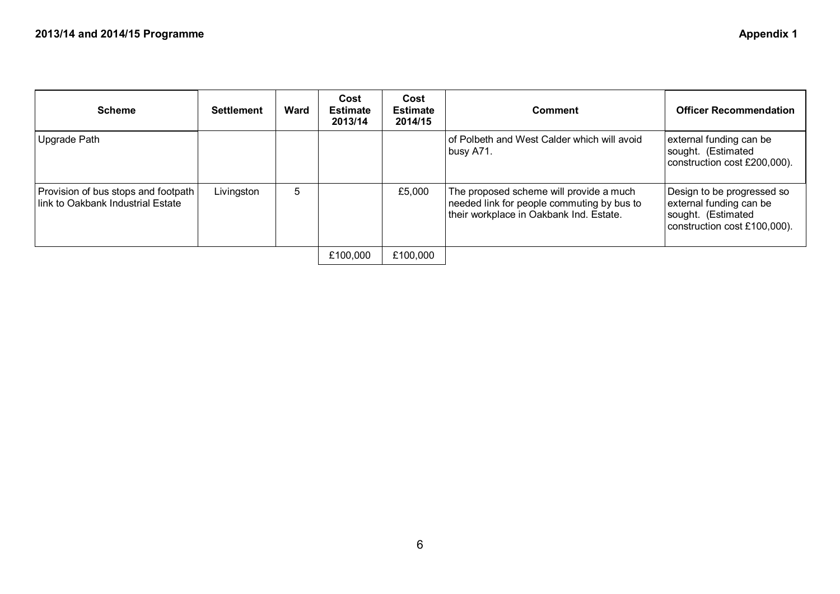| <b>Scheme</b>                                                            | <b>Settlement</b> | <b>Ward</b> | Cost<br><b>Estimate</b><br>2013/14 | Cost<br><b>Estimate</b><br>2014/15 | <b>Comment</b>                                                                                                                   | <b>Officer Recommendation</b>                                                                               |
|--------------------------------------------------------------------------|-------------------|-------------|------------------------------------|------------------------------------|----------------------------------------------------------------------------------------------------------------------------------|-------------------------------------------------------------------------------------------------------------|
| Upgrade Path                                                             |                   |             |                                    |                                    | of Polbeth and West Calder which will avoid<br>busy A71.                                                                         | external funding can be<br>sought. (Estimated<br>construction cost £200,000).                               |
| Provision of bus stops and footpath<br>link to Oakbank Industrial Estate | Livingston        | 5           |                                    | £5,000                             | The proposed scheme will provide a much<br>needed link for people commuting by bus to<br>their workplace in Oakbank Ind. Estate. | Design to be progressed so<br>external funding can be<br>sought. (Estimated<br>construction cost £100,000). |
|                                                                          |                   |             | £100,000                           | £100,000                           |                                                                                                                                  |                                                                                                             |